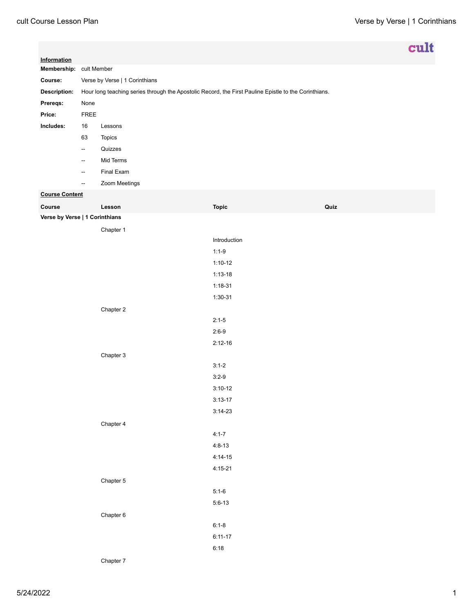| Information                    |                                                                                                       |               |              | cult |  |
|--------------------------------|-------------------------------------------------------------------------------------------------------|---------------|--------------|------|--|
| Membership: cult Member        |                                                                                                       |               |              |      |  |
| Course:                        | Verse by Verse   1 Corinthians                                                                        |               |              |      |  |
| Description:                   | Hour long teaching series through the Apostolic Record, the First Pauline Epistle to the Corinthians. |               |              |      |  |
| Prereqs:                       | None                                                                                                  |               |              |      |  |
| Price:                         | FREE                                                                                                  |               |              |      |  |
| Includes:                      | 16                                                                                                    | Lessons       |              |      |  |
|                                | 63                                                                                                    | Topics        |              |      |  |
|                                | $\overline{\phantom{a}}$                                                                              | Quizzes       |              |      |  |
|                                | $\overline{\phantom{a}}$                                                                              | Mid Terms     |              |      |  |
|                                | $\overline{\phantom{a}}$                                                                              | Final Exam    |              |      |  |
|                                | $\overline{\phantom{a}}$                                                                              | Zoom Meetings |              |      |  |
| <b>Course Content</b>          |                                                                                                       |               |              |      |  |
| Course                         |                                                                                                       | Lesson        | <b>Topic</b> | Quiz |  |
| Verse by Verse   1 Corinthians |                                                                                                       |               |              |      |  |
|                                |                                                                                                       | Chapter 1     |              |      |  |
|                                |                                                                                                       |               | Introduction |      |  |
|                                |                                                                                                       |               | $1:1-9$      |      |  |
|                                |                                                                                                       |               | $1:10-12$    |      |  |
|                                |                                                                                                       |               | $1:13-18$    |      |  |
|                                |                                                                                                       |               | $1:18-31$    |      |  |
|                                |                                                                                                       |               | $1:30-31$    |      |  |
|                                |                                                                                                       | Chapter 2     |              |      |  |
|                                |                                                                                                       |               | $2:1-5$      |      |  |
|                                |                                                                                                       |               | $2:6-9$      |      |  |
|                                |                                                                                                       |               | $2:12-16$    |      |  |
|                                |                                                                                                       | Chapter 3     |              |      |  |
|                                |                                                                                                       |               | $3:1-2$      |      |  |
|                                |                                                                                                       |               | $3:2-9$      |      |  |
|                                |                                                                                                       |               | $3:10-12$    |      |  |
|                                |                                                                                                       |               | $3:13-17$    |      |  |
|                                |                                                                                                       |               | $3:14-23$    |      |  |
|                                |                                                                                                       | Chapter 4     |              |      |  |
|                                |                                                                                                       |               | $4:1 - 7$    |      |  |
|                                |                                                                                                       |               | $4:8-13$     |      |  |
|                                |                                                                                                       |               | $4:14-15$    |      |  |
|                                |                                                                                                       |               | $4:15-21$    |      |  |
|                                |                                                                                                       | Chapter 5     |              |      |  |
|                                |                                                                                                       |               | $5:1-6$      |      |  |
|                                |                                                                                                       |               | $5:6-13$     |      |  |
|                                |                                                                                                       | Chapter 6     |              |      |  |
|                                |                                                                                                       |               | $6:1 - 8$    |      |  |
|                                |                                                                                                       |               | $6:11 - 17$  |      |  |
|                                |                                                                                                       |               | 6:18         |      |  |

Chapter 7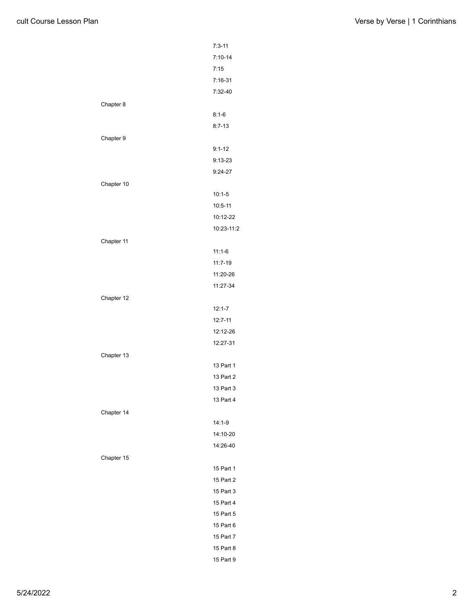|            | $7:3 - 11$  |
|------------|-------------|
|            | $7:10-14$   |
|            | 7:15        |
|            | $7:16-31$   |
|            | 7:32-40     |
| Chapter 8  |             |
|            | $8:1-6$     |
|            | $8:7-13$    |
| Chapter 9  |             |
|            | $9:1 - 12$  |
|            | $9:13 - 23$ |
|            | $9:24-27$   |
| Chapter 10 |             |
|            | $10:1-5$    |
|            | $10:5 - 11$ |
|            | 10:12-22    |
|            | 10:23-11:2  |
| Chapter 11 |             |
|            | $11:1-6$    |
|            | 11:7-19     |
|            | 11:20-26    |
|            | 11:27-34    |
| Chapter 12 |             |
|            | $12:1 - 7$  |
|            | $12:7 - 11$ |
|            | 12:12-26    |
|            | 12:27-31    |
| Chapter 13 |             |
|            | 13 Part 1   |
|            | 13 Part 2   |
|            | 13 Part 3   |
|            | 13 Part 4   |
| Chapter 14 |             |
|            | $14:1-9$    |
|            | 14:10-20    |
|            | 14:26-40    |
| Chapter 15 |             |
|            | 15 Part 1   |
|            | 15 Part 2   |
|            | 15 Part 3   |
|            | 15 Part 4   |
|            | 15 Part 5   |
|            | 15 Part 6   |
|            | 15 Part 7   |
|            | 15 Part 8   |
|            | 15 Part 9   |